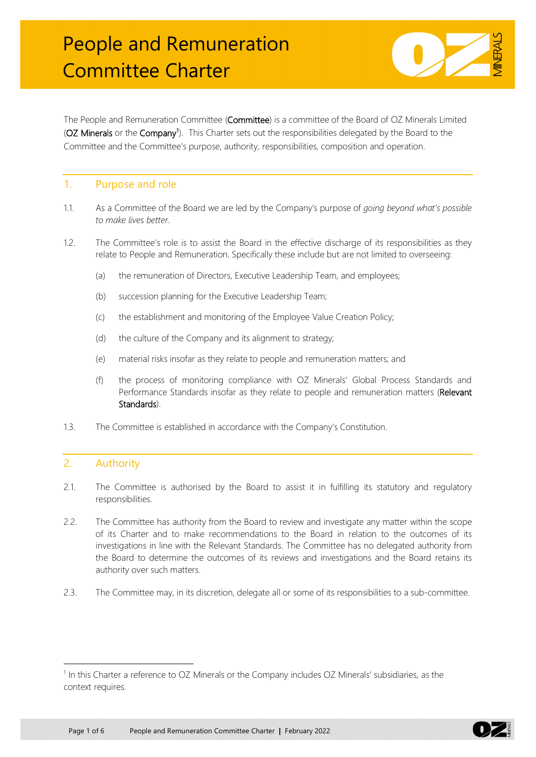

The People and Remuneration Committee (Committee) is a committee of the Board of OZ Minerals Limited (OZ Minerals or the Company<sup>[1](#page-0-0)</sup>). This Charter sets out the responsibilities delegated by the Board to the Committee and the Committee's purpose, authority, responsibilities, composition and operation.

### 1. Purpose and role

- 1.1. As a Committee of the Board we are led by the Company's purpose of *going beyond what's possible to make lives better*.
- 1.2. The Committee's role is to assist the Board in the effective discharge of its responsibilities as they relate to People and Remuneration. Specifically these include but are not limited to overseeing:
	- (a) the remuneration of Directors, Executive Leadership Team, and employees;
	- (b) succession planning for the Executive Leadership Team;
	- (c) the establishment and monitoring of the Employee Value Creation Policy;
	- (d) the culture of the Company and its alignment to strategy;
	- (e) material risks insofar as they relate to people and remuneration matters; and
	- (f) the process of monitoring compliance with OZ Minerals' Global Process Standards and Performance Standards insofar as they relate to people and remuneration matters (Relevant Standards).
- 1.3. The Committee is established in accordance with the Company's Constitution.

# 2. Authority

- 2.1. The Committee is authorised by the Board to assist it in fulfilling its statutory and regulatory responsibilities.
- 2.2. The Committee has authority from the Board to review and investigate any matter within the scope of its Charter and to make recommendations to the Board in relation to the outcomes of its investigations in line with the Relevant Standards. The Committee has no delegated authority from the Board to determine the outcomes of its reviews and investigations and the Board retains its authority over such matters.
- 2.3. The Committee may, in its discretion, delegate all or some of its responsibilities to a sub-committee.



<span id="page-0-0"></span> $1$  In this Charter a reference to OZ Minerals or the Company includes OZ Minerals' subsidiaries, as the context requires.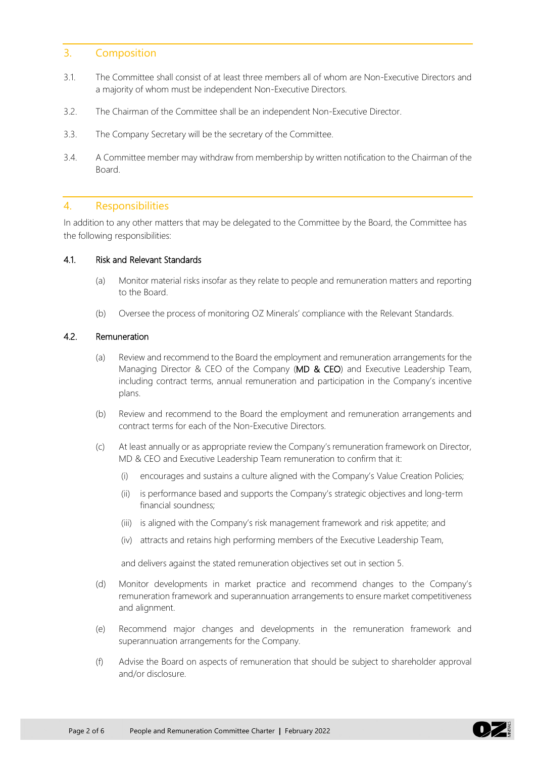## 3. Composition

- 3.1. The Committee shall consist of at least three members all of whom are Non-Executive Directors and a majority of whom must be independent Non-Executive Directors.
- 3.2. The Chairman of the Committee shall be an independent Non-Executive Director.
- 3.3. The Company Secretary will be the secretary of the Committee.
- 3.4. A Committee member may withdraw from membership by written notification to the Chairman of the Board.

### 4. Responsibilities

In addition to any other matters that may be delegated to the Committee by the Board, the Committee has the following responsibilities:

#### 4.1. Risk and Relevant Standards

- (a) Monitor material risks insofar as they relate to people and remuneration matters and reporting to the Board.
- (b) Oversee the process of monitoring OZ Minerals' compliance with the Relevant Standards.

### 4.2. Remuneration

- (a) Review and recommend to the Board the employment and remuneration arrangements for the Managing Director & CEO of the Company (MD & CEO) and Executive Leadership Team, including contract terms, annual remuneration and participation in the Company's incentive plans.
- (b) Review and recommend to the Board the employment and remuneration arrangements and contract terms for each of the Non-Executive Directors.
- (c) At least annually or as appropriate review the Company's remuneration framework on Director, MD & CEO and Executive Leadership Team remuneration to confirm that it:
	- (i) encourages and sustains a culture aligned with the Company's Value Creation Policies;
	- (ii) is performance based and supports the Company's strategic objectives and long-term financial soundness;
	- (iii) is aligned with the Company's risk management framework and risk appetite; and
	- (iv) attracts and retains high performing members of the Executive Leadership Team,

and delivers against the stated remuneration objectives set out in section 5.

- (d) Monitor developments in market practice and recommend changes to the Company's remuneration framework and superannuation arrangements to ensure market competitiveness and alignment.
- (e) Recommend major changes and developments in the remuneration framework and superannuation arrangements for the Company.
- (f) Advise the Board on aspects of remuneration that should be subject to shareholder approval and/or disclosure.

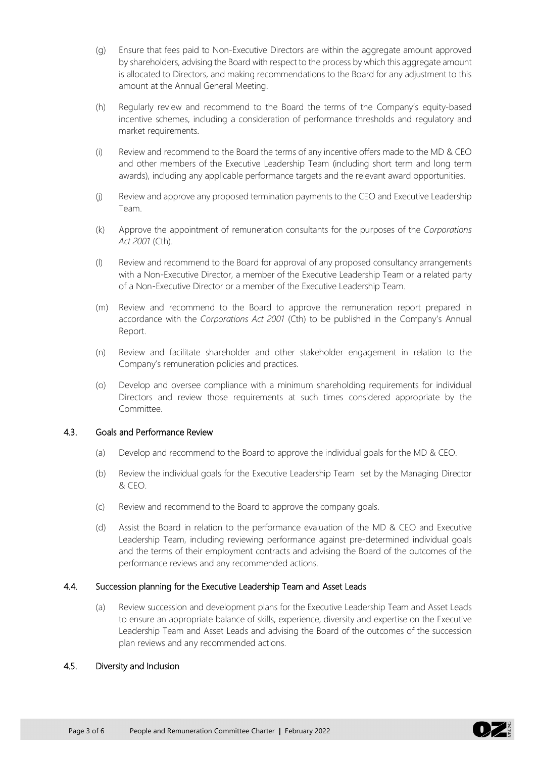- (g) Ensure that fees paid to Non-Executive Directors are within the aggregate amount approved by shareholders, advising the Board with respect to the process by which this aggregate amount is allocated to Directors, and making recommendations to the Board for any adjustment to this amount at the Annual General Meeting.
- (h) Regularly review and recommend to the Board the terms of the Company's equity-based incentive schemes, including a consideration of performance thresholds and regulatory and market requirements.
- (i) Review and recommend to the Board the terms of any incentive offers made to the MD & CEO and other members of the Executive Leadership Team (including short term and long term awards), including any applicable performance targets and the relevant award opportunities.
- (j) Review and approve any proposed termination payments to the CEO and Executive Leadership Team.
- (k) Approve the appointment of remuneration consultants for the purposes of the *Corporations Act 2001* (Cth).
- (l) Review and recommend to the Board for approval of any proposed consultancy arrangements with a Non-Executive Director, a member of the Executive Leadership Team or a related party of a Non-Executive Director or a member of the Executive Leadership Team.
- (m) Review and recommend to the Board to approve the remuneration report prepared in accordance with the *Corporations Act 2001* (Cth) to be published in the Company's Annual Report.
- (n) Review and facilitate shareholder and other stakeholder engagement in relation to the Company's remuneration policies and practices.
- (o) Develop and oversee compliance with a minimum shareholding requirements for individual Directors and review those requirements at such times considered appropriate by the Committee.

### 4.3. Goals and Performance Review

- (a) Develop and recommend to the Board to approve the individual goals for the MD & CEO.
- (b) Review the individual goals for the Executive Leadership Team set by the Managing Director & CEO.
- (c) Review and recommend to the Board to approve the company goals.
- (d) Assist the Board in relation to the performance evaluation of the MD & CEO and Executive Leadership Team, including reviewing performance against pre-determined individual goals and the terms of their employment contracts and advising the Board of the outcomes of the performance reviews and any recommended actions.

#### 4.4. Succession planning for the Executive Leadership Team and Asset Leads

(a) Review succession and development plans for the Executive Leadership Team and Asset Leads to ensure an appropriate balance of skills, experience, diversity and expertise on the Executive Leadership Team and Asset Leads and advising the Board of the outcomes of the succession plan reviews and any recommended actions.

#### 4.5. Diversity and Inclusion

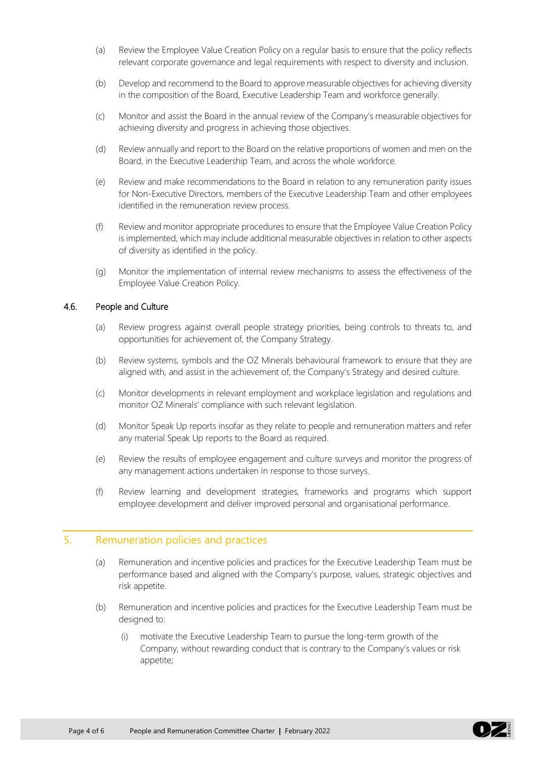- (a) Review the Employee Value Creation Policy on a regular basis to ensure that the policy reflects relevant corporate governance and legal requirements with respect to diversity and inclusion.
- (b) Develop and recommend to the Board to approve measurable objectives for achieving diversity in the composition of the Board, Executive Leadership Team and workforce generally.
- (c) Monitor and assist the Board in the annual review of the Company's measurable objectives for achieving diversity and progress in achieving those objectives.
- (d) Review annually and report to the Board on the relative proportions of women and men on the Board, in the Executive Leadership Team, and across the whole workforce.
- (e) Review and make recommendations to the Board in relation to any remuneration parity issues for Non-Executive Directors, members of the Executive Leadership Team and other employees identified in the remuneration review process.
- (f) Review and monitor appropriate procedures to ensure that the Employee Value Creation Policy is implemented, which may include additional measurable objectives in relation to other aspects of diversity as identified in the policy.
- (g) Monitor the implementation of internal review mechanisms to assess the effectiveness of the Employee Value Creation Policy.

### 4.6. People and Culture

- (a) Review progress against overall people strategy priorities, being controls to threats to, and opportunities for achievement of, the Company Strategy.
- (b) Review systems, symbols and the OZ Minerals behavioural framework to ensure that they are aligned with, and assist in the achievement of, the Company's Strategy and desired culture.
- (c) Monitor developments in relevant employment and workplace legislation and regulations and monitor OZ Minerals' compliance with such relevant legislation.
- (d) Monitor Speak Up reports insofar as they relate to people and remuneration matters and refer any material Speak Up reports to the Board as required.
- (e) Review the results of employee engagement and culture surveys and monitor the progress of any management actions undertaken in response to those surveys.
- (f) Review learning and development strategies, frameworks and programs which support employee development and deliver improved personal and organisational performance.

## 5. Remuneration policies and practices

- (a) Remuneration and incentive policies and practices for the Executive Leadership Team must be performance based and aligned with the Company's purpose, values, strategic objectives and risk appetite.
- (b) Remuneration and incentive policies and practices for the Executive Leadership Team must be designed to:
	- (i) motivate the Executive Leadership Team to pursue the long-term growth of the Company, without rewarding conduct that is contrary to the Company's values or risk appetite;

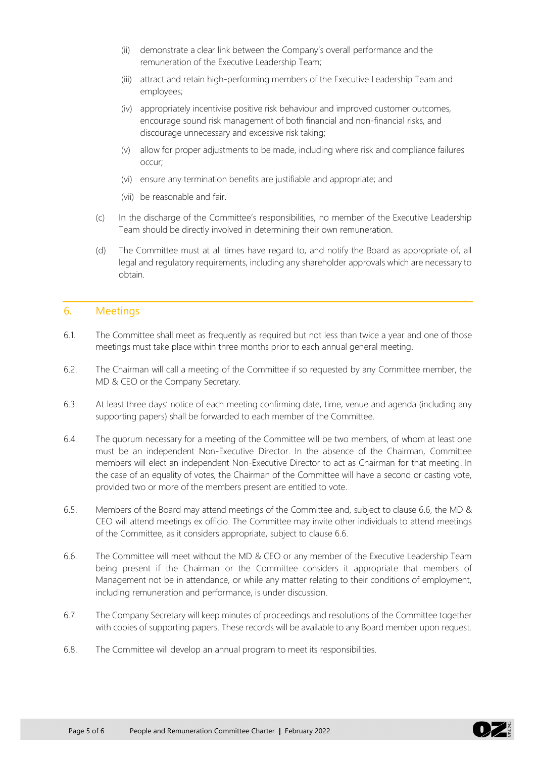- (ii) demonstrate a clear link between the Company's overall performance and the remuneration of the Executive Leadership Team;
- (iii) attract and retain high-performing members of the Executive Leadership Team and employees;
- (iv) appropriately incentivise positive risk behaviour and improved customer outcomes, encourage sound risk management of both financial and non-financial risks, and discourage unnecessary and excessive risk taking;
- (v) allow for proper adjustments to be made, including where risk and compliance failures occur;
- (vi) ensure any termination benefits are justifiable and appropriate; and
- (vii) be reasonable and fair.
- (c) In the discharge of the Committee's responsibilities, no member of the Executive Leadership Team should be directly involved in determining their own remuneration.
- (d) The Committee must at all times have regard to, and notify the Board as appropriate of, all legal and regulatory requirements, including any shareholder approvals which are necessary to obtain.

## 6. Meetings

- 6.1. The Committee shall meet as frequently as required but not less than twice a year and one of those meetings must take place within three months prior to each annual general meeting.
- 6.2. The Chairman will call a meeting of the Committee if so requested by any Committee member, the MD & CEO or the Company Secretary.
- 6.3. At least three days' notice of each meeting confirming date, time, venue and agenda (including any supporting papers) shall be forwarded to each member of the Committee.
- 6.4. The quorum necessary for a meeting of the Committee will be two members, of whom at least one must be an independent Non-Executive Director. In the absence of the Chairman, Committee members will elect an independent Non-Executive Director to act as Chairman for that meeting. In the case of an equality of votes, the Chairman of the Committee will have a second or casting vote, provided two or more of the members present are entitled to vote.
- 6.5. Members of the Board may attend meetings of the Committee and, subject to clause 6.6, the MD & CEO will attend meetings ex officio. The Committee may invite other individuals to attend meetings of the Committee, as it considers appropriate, subject to clause 6.6.
- 6.6. The Committee will meet without the MD & CEO or any member of the Executive Leadership Team being present if the Chairman or the Committee considers it appropriate that members of Management not be in attendance, or while any matter relating to their conditions of employment, including remuneration and performance, is under discussion.
- 6.7. The Company Secretary will keep minutes of proceedings and resolutions of the Committee together with copies of supporting papers. These records will be available to any Board member upon request.
- 6.8. The Committee will develop an annual program to meet its responsibilities.